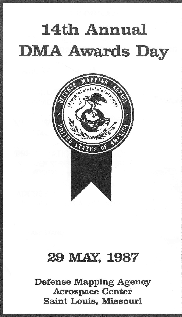# 14th Annual **DMA Awards Day**



# 29 MAY, 1987

Defense Mapping Agency Aerospace Center Saint Louis, Missouri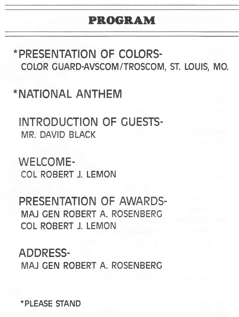## PROGRAM

\*PRESENTATION OF COLORS. COLOR GUARD-AVSCOM/TROSCOM, ST. LOUIS, MO.

\*NATIONAL ANTHEM

INTRODUCTION OF CUESTS. MR. DAVID BLACK

WELCOME. COL ROBERT J. LEMON

PRESENTATION OF AWARDS. MAJ CEN ROBERT A. ROSENBERG COL ROBERT J. LEMON

ADDRESS. MAJ GEN ROBERT A. ROSENBERC

\*PLEASE STAND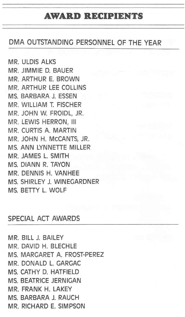#### **AWARD RECIPIENTS**

#### DMA OUTSTANDING PERSONNEL OF THE YEAR

MR. ULDIS ALKS MR. JIMMIE D. BAUER MR. ARTHUR E. BROWN MR. ARTHUR LEE COLLINS MS. BARBARA J. ESSEN MR. WILLIAM T. FISCHER MR. JOHN W. FROIDL, JR. MR. LEWIS HERRON, III MR. CURTIS A. MARTIN MR. JOHN H. MCCANTS, JR. MS. ANN LYNNETTE MILLER MR. JAMES L. SMITH MS. DIANN R. TAYON MR. DENNIS H. VANHEE MS. SHIRLEY J. WINEOARDNER MS BETTY L. WOLF

#### SPECIAL ACT AWARDS

MR. BILL J. BAILEY MR. DAVID H. BLECHLE MS. MARCARET A. FROST-PEREZ MR. DONALD L. CAROAC MS. CATHY D. HATFIELD MS. BEATRICE JERNICAN MR. FRANK H. LAKEY MS. BARBARA J. RAUCH MR. RICHARD E. SIMPSON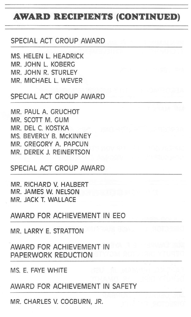# AWARD RECIPIENTS (CONTINUED)

#### SPECIAL ACT GROUP AWARD

MS. HELEN L. HEADRICK MR. JOHN L. KOBERO MR. JOHN R. STURLEY MR. MICHAEL L. WEVER

#### SPECIAL ACT OROUP AWARD

MR. PAUL A. CRUCHOT MR. SCOTT M. CUM MR. DEL C. KOSTKA MS. BEVERLY B. MCKINNEY MR. CRECORY A. PAPCUN MR. DEREK J. REINERTSON

SPECIAL ACT GROUP AWARD

MR. RICHARD V. HALBERT MR. JAMES W. NELSON MR. JACK T. WALLACE

AWARD FOR ACHIEVEMENT IN EEO

MR. LARRY E. STRATTON

AWARD FOR ACHIEVEMENT IN PAPERWORK REDUCTION

MS. E. FAYE WHITE

AWARD FOR ACHIEVEMENT IN SAFETY

MR. CHARLES V. COCBURN, JR.